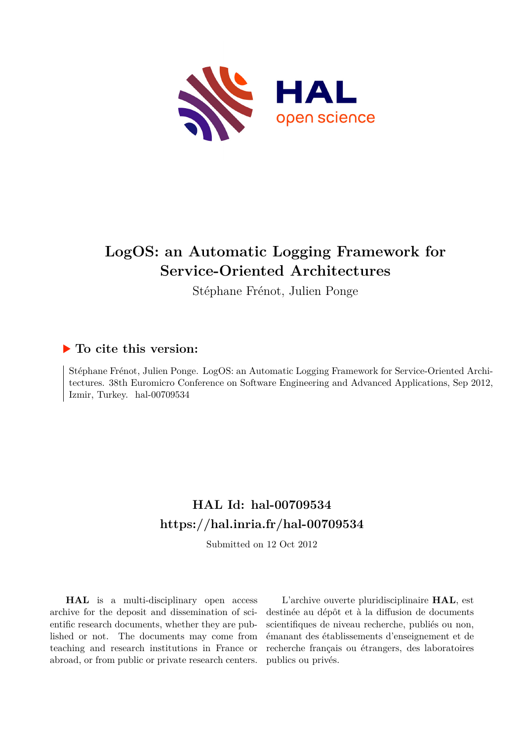

## **LogOS: an Automatic Logging Framework for Service-Oriented Architectures**

Stéphane Frénot, Julien Ponge

### **To cite this version:**

Stéphane Frénot, Julien Ponge. LogOS: an Automatic Logging Framework for Service-Oriented Architectures. 38th Euromicro Conference on Software Engineering and Advanced Applications, Sep 2012, Izmir, Turkey. hal-00709534

## **HAL Id: hal-00709534 <https://hal.inria.fr/hal-00709534>**

Submitted on 12 Oct 2012

**HAL** is a multi-disciplinary open access archive for the deposit and dissemination of scientific research documents, whether they are published or not. The documents may come from teaching and research institutions in France or abroad, or from public or private research centers.

L'archive ouverte pluridisciplinaire **HAL**, est destinée au dépôt et à la diffusion de documents scientifiques de niveau recherche, publiés ou non, émanant des établissements d'enseignement et de recherche français ou étrangers, des laboratoires publics ou privés.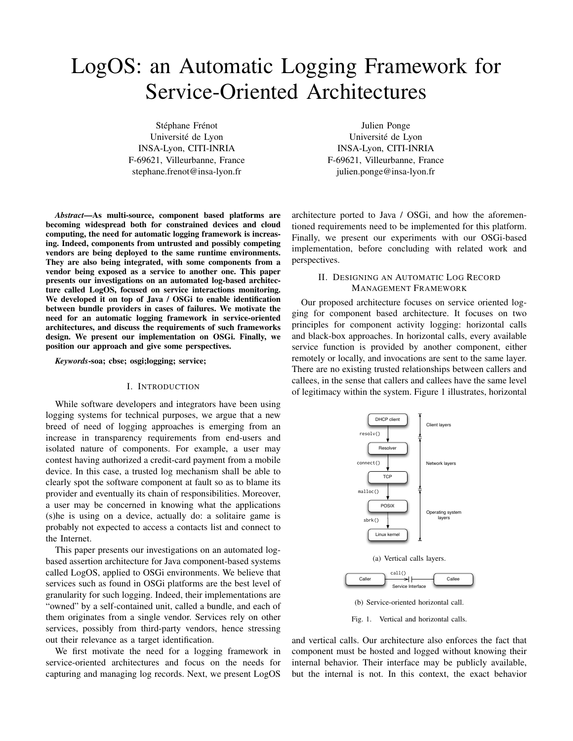# LogOS: an Automatic Logging Framework for Service-Oriented Architectures

Stéphane Frénot Université de Lyon INSA-Lyon, CITI-INRIA F-69621, Villeurbanne, France stephane.frenot@insa-lyon.fr

Julien Ponge Université de Lyon INSA-Lyon, CITI-INRIA F-69621, Villeurbanne, France julien.ponge@insa-lyon.fr

*Abstract*—As multi-source, component based platforms are becoming widespread both for constrained devices and cloud computing, the need for automatic logging framework is increasing. Indeed, components from untrusted and possibly competing vendors are being deployed to the same runtime environments. They are also being integrated, with some components from a vendor being exposed as a service to another one. This paper presents our investigations on an automated log-based architecture called LogOS, focused on service interactions monitoring. We developed it on top of Java / OSGi to enable identification between bundle providers in cases of failures. We motivate the need for an automatic logging framework in service-oriented architectures, and discuss the requirements of such frameworks design. We present our implementation on OSGi. Finally, we position our approach and give some perspectives.

*Keywords*-soa; cbse; osgi;logging; service;

#### I. INTRODUCTION

While software developers and integrators have been using logging systems for technical purposes, we argue that a new breed of need of logging approaches is emerging from an increase in transparency requirements from end-users and isolated nature of components. For example, a user may contest having authorized a credit-card payment from a mobile device. In this case, a trusted log mechanism shall be able to clearly spot the software component at fault so as to blame its provider and eventually its chain of responsibilities. Moreover, a user may be concerned in knowing what the applications (s)he is using on a device, actually do: a solitaire game is probably not expected to access a contacts list and connect to the Internet.

This paper presents our investigations on an automated logbased assertion architecture for Java component-based systems called LogOS, applied to OSGi environments. We believe that services such as found in OSGi platforms are the best level of granularity for such logging. Indeed, their implementations are "owned" by a self-contained unit, called a bundle, and each of them originates from a single vendor. Services rely on other services, possibly from third-party vendors, hence stressing out their relevance as a target identification.

We first motivate the need for a logging framework in service-oriented architectures and focus on the needs for capturing and managing log records. Next, we present LogOS architecture ported to Java / OSGi, and how the aforementioned requirements need to be implemented for this platform. Finally, we present our experiments with our OSGi-based implementation, before concluding with related work and perspectives.

#### II. DESIGNING AN AUTOMATIC LOG RECORD MANAGEMENT FRAMEWORK

Our proposed architecture focuses on service oriented logging for component based architecture. It focuses on two principles for component activity logging: horizontal calls and black-box approaches. In horizontal calls, every available service function is provided by another component, either remotely or locally, and invocations are sent to the same layer. There are no existing trusted relationships between callers and callees, in the sense that callers and callees have the same level of legitimacy within the system. Figure 1 illustrates, horizontal



Fig. 1. Vertical and horizontal calls.

and vertical calls. Our architecture also enforces the fact that component must be hosted and logged without knowing their internal behavior. Their interface may be publicly available, but the internal is not. In this context, the exact behavior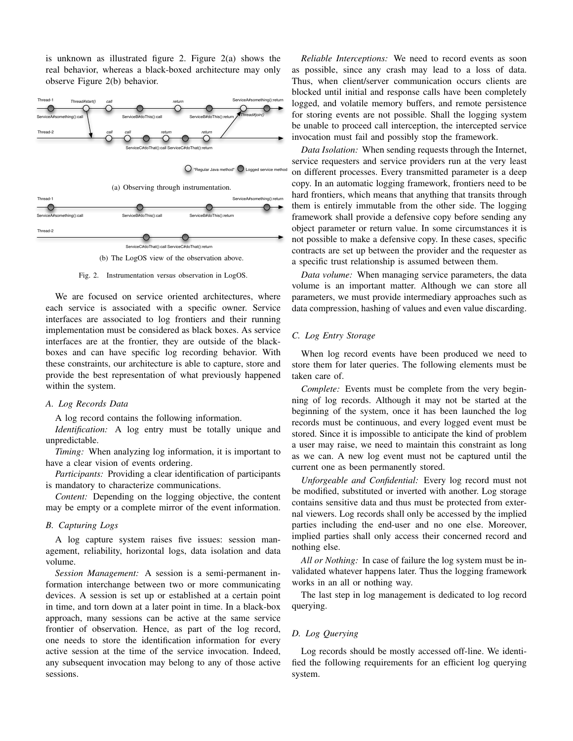is unknown as illustrated figure 2. Figure  $2(a)$  shows the real behavior, whereas a black-boxed architecture may only observe Figure 2(b) behavior.



(b) The LogOS view of the observation above.

Fig. 2. Instrumentation versus observation in LogOS.

We are focused on service oriented architectures, where each service is associated with a specific owner. Service interfaces are associated to log frontiers and their running implementation must be considered as black boxes. As service interfaces are at the frontier, they are outside of the blackboxes and can have specific log recording behavior. With these constraints, our architecture is able to capture, store and provide the best representation of what previously happened within the system.

#### *A. Log Records Data*

A log record contains the following information.

*Identification:* A log entry must be totally unique and unpredictable.

*Timing:* When analyzing log information, it is important to have a clear vision of events ordering.

*Participants:* Providing a clear identification of participants is mandatory to characterize communications.

*Content:* Depending on the logging objective, the content may be empty or a complete mirror of the event information.

#### *B. Capturing Logs*

A log capture system raises five issues: session management, reliability, horizontal logs, data isolation and data volume.

*Session Management:* A session is a semi-permanent information interchange between two or more communicating devices. A session is set up or established at a certain point in time, and torn down at a later point in time. In a black-box approach, many sessions can be active at the same service frontier of observation. Hence, as part of the log record, one needs to store the identification information for every active session at the time of the service invocation. Indeed, any subsequent invocation may belong to any of those active sessions.

*Reliable Interceptions:* We need to record events as soon as possible, since any crash may lead to a loss of data. Thus, when client/server communication occurs clients are blocked until initial and response calls have been completely logged, and volatile memory buffers, and remote persistence for storing events are not possible. Shall the logging system be unable to proceed call interception, the intercepted service invocation must fail and possibly stop the framework.

*Data Isolation:* When sending requests through the Internet, service requesters and service providers run at the very least on different processes. Every transmitted parameter is a deep copy. In an automatic logging framework, frontiers need to be hard frontiers, which means that anything that transits through them is entirely immutable from the other side. The logging framework shall provide a defensive copy before sending any object parameter or return value. In some circumstances it is not possible to make a defensive copy. In these cases, specific contracts are set up between the provider and the requester as a specific trust relationship is assumed between them.

*Data volume:* When managing service parameters, the data volume is an important matter. Although we can store all parameters, we must provide intermediary approaches such as data compression, hashing of values and even value discarding.

#### *C. Log Entry Storage*

When log record events have been produced we need to store them for later queries. The following elements must be taken care of.

*Complete:* Events must be complete from the very beginning of log records. Although it may not be started at the beginning of the system, once it has been launched the log records must be continuous, and every logged event must be stored. Since it is impossible to anticipate the kind of problem a user may raise, we need to maintain this constraint as long as we can. A new log event must not be captured until the current one as been permanently stored.

*Unforgeable and Confidential:* Every log record must not be modified, substituted or inverted with another. Log storage contains sensitive data and thus must be protected from external viewers. Log records shall only be accessed by the implied parties including the end-user and no one else. Moreover, implied parties shall only access their concerned record and nothing else.

*All or Nothing:* In case of failure the log system must be invalidated whatever happens later. Thus the logging framework works in an all or nothing way.

The last step in log management is dedicated to log record querying.

#### *D. Log Querying*

Log records should be mostly accessed off-line. We identified the following requirements for an efficient log querying system.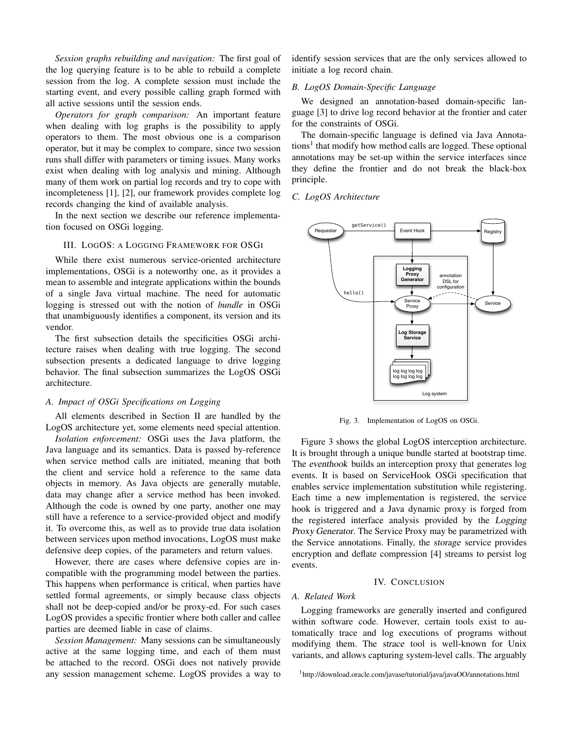*Session graphs rebuilding and navigation:* The first goal of the log querying feature is to be able to rebuild a complete session from the log. A complete session must include the starting event, and every possible calling graph formed with all active sessions until the session ends.

*Operators for graph comparison:* An important feature when dealing with log graphs is the possibility to apply operators to them. The most obvious one is a comparison operator, but it may be complex to compare, since two session runs shall differ with parameters or timing issues. Many works exist when dealing with log analysis and mining. Although many of them work on partial log records and try to cope with incompleteness [1], [2], our framework provides complete log records changing the kind of available analysis.

In the next section we describe our reference implementation focused on OSGi logging.

#### III. LOGOS: A LOGGING FRAMEWORK FOR OSGI

While there exist numerous service-oriented architecture implementations, OSGi is a noteworthy one, as it provides a mean to assemble and integrate applications within the bounds of a single Java virtual machine. The need for automatic logging is stressed out with the notion of *bundle* in OSGi that unambiguously identifies a component, its version and its vendor.

The first subsection details the specificities OSGi architecture raises when dealing with true logging. The second subsection presents a dedicated language to drive logging behavior. The final subsection summarizes the LogOS OSGi architecture.

#### *A. Impact of OSGi Specifications on Logging*

All elements described in Section II are handled by the LogOS architecture yet, some elements need special attention.

*Isolation enforcement:* OSGi uses the Java platform, the Java language and its semantics. Data is passed by-reference when service method calls are initiated, meaning that both the client and service hold a reference to the same data objects in memory. As Java objects are generally mutable, data may change after a service method has been invoked. Although the code is owned by one party, another one may still have a reference to a service-provided object and modify it. To overcome this, as well as to provide true data isolation between services upon method invocations, LogOS must make defensive deep copies, of the parameters and return values.

However, there are cases where defensive copies are incompatible with the programming model between the parties. This happens when performance is critical, when parties have settled formal agreements, or simply because class objects shall not be deep-copied and/or be proxy-ed. For such cases LogOS provides a specific frontier where both caller and callee parties are deemed liable in case of claims.

*Session Management:* Many sessions can be simultaneously active at the same logging time, and each of them must be attached to the record. OSGi does not natively provide any session management scheme. LogOS provides a way to identify session services that are the only services allowed to initiate a log record chain.

#### *B. LogOS Domain-Specific Language*

We designed an annotation-based domain-specific language [3] to drive log record behavior at the frontier and cater for the constraints of OSGi.

The domain-specific language is defined via Java Annotations<sup>1</sup> that modify how method calls are logged. These optional annotations may be set-up within the service interfaces since they define the frontier and do not break the black-box principle.

#### *C. LogOS Architecture*



Fig. 3. Implementation of LogOS on OSGi.

Figure 3 shows the global LogOS interception architecture. It is brought through a unique bundle started at bootstrap time. The eventhook builds an interception proxy that generates log events. It is based on ServiceHook OSGi specification that enables service implementation substitution while registering. Each time a new implementation is registered, the service hook is triggered and a Java dynamic proxy is forged from the registered interface analysis provided by the Logging Proxy Generator. The Service Proxy may be parametrized with the Service annotations. Finally, the storage service provides encryption and deflate compression [4] streams to persist log events.

#### IV. CONCLUSION

#### *A. Related Work*

Logging frameworks are generally inserted and configured within software code. However, certain tools exist to automatically trace and log executions of programs without modifying them. The strace tool is well-known for Unix variants, and allows capturing system-level calls. The arguably

<sup>1</sup>http://download.oracle.com/javase/tutorial/java/javaOO/annotations.html